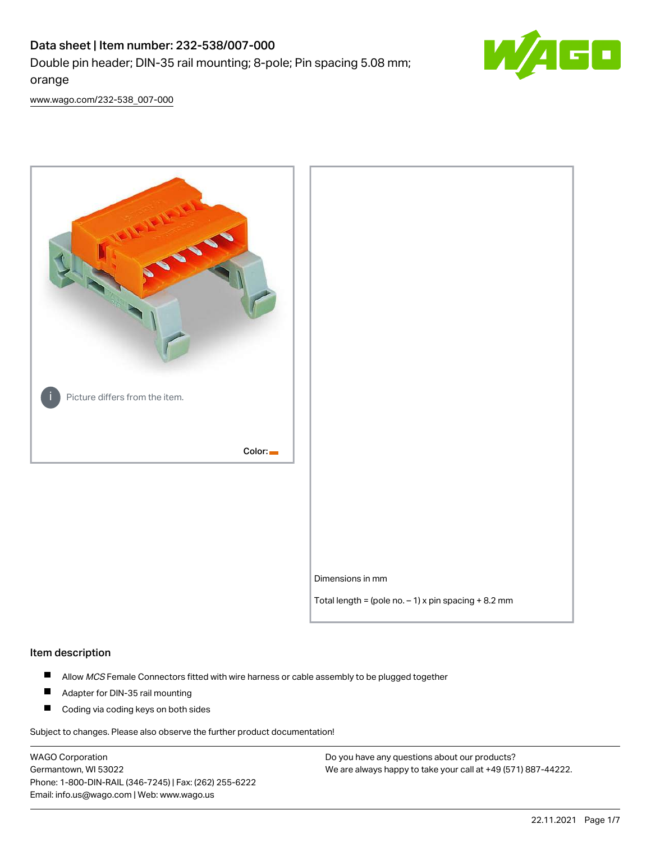# Data sheet | Item number: 232-538/007-000 Double pin header; DIN-35 rail mounting; 8-pole; Pin spacing 5.08 mm; orange



[www.wago.com/232-538\\_007-000](http://www.wago.com/232-538_007-000)



#### Item description

- $\blacksquare$ Allow MCS Female Connectors fitted with wire harness or cable assembly to be plugged together
- $\blacksquare$ Adapter for DIN-35 rail mounting
- $\blacksquare$ Coding via coding keys on both sides

Subject to changes. Please also observe the further product documentation!

WAGO Corporation Germantown, WI 53022 Phone: 1-800-DIN-RAIL (346-7245) | Fax: (262) 255-6222 Email: info.us@wago.com | Web: www.wago.us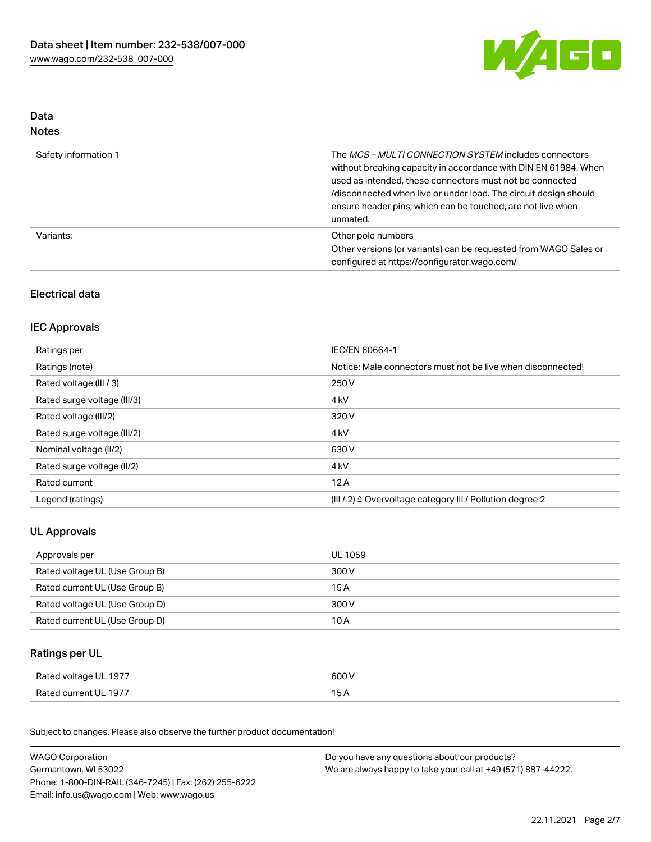

## Data Notes

| Safety information 1 | The <i>MCS – MULTI CONNECTION SYSTEM</i> includes connectors<br>without breaking capacity in accordance with DIN EN 61984. When<br>used as intended, these connectors must not be connected<br>/disconnected when live or under load. The circuit design should<br>ensure header pins, which can be touched, are not live when<br>unmated. |
|----------------------|--------------------------------------------------------------------------------------------------------------------------------------------------------------------------------------------------------------------------------------------------------------------------------------------------------------------------------------------|
| Variants:            | Other pole numbers<br>Other versions (or variants) can be requested from WAGO Sales or<br>configured at https://configurator.wago.com/                                                                                                                                                                                                     |

## Electrical data

## IEC Approvals

| Ratings per                 | IEC/EN 60664-1                                                        |
|-----------------------------|-----------------------------------------------------------------------|
| Ratings (note)              | Notice: Male connectors must not be live when disconnected!           |
| Rated voltage (III / 3)     | 250 V                                                                 |
| Rated surge voltage (III/3) | 4 <sub>k</sub> V                                                      |
| Rated voltage (III/2)       | 320 V                                                                 |
| Rated surge voltage (III/2) | 4 <sub>k</sub> V                                                      |
| Nominal voltage (II/2)      | 630 V                                                                 |
| Rated surge voltage (II/2)  | 4 <sub>k</sub> V                                                      |
| Rated current               | 12A                                                                   |
| Legend (ratings)            | $(III / 2)$ $\triangle$ Overvoltage category III / Pollution degree 2 |

## UL Approvals

| Approvals per                  | UL 1059 |
|--------------------------------|---------|
| Rated voltage UL (Use Group B) | 300 V   |
| Rated current UL (Use Group B) | 15 A    |
| Rated voltage UL (Use Group D) | 300 V   |
| Rated current UL (Use Group D) | 10 A    |

## Ratings per UL

| Rated voltage UL 1977 | 600 V |
|-----------------------|-------|
| Rated current UL 1977 |       |

Subject to changes. Please also observe the further product documentation!

| <b>WAGO Corporation</b>                                | Do you have any questions about our products?                 |
|--------------------------------------------------------|---------------------------------------------------------------|
| Germantown, WI 53022                                   | We are always happy to take your call at +49 (571) 887-44222. |
| Phone: 1-800-DIN-RAIL (346-7245)   Fax: (262) 255-6222 |                                                               |
| Email: info.us@wago.com   Web: www.wago.us             |                                                               |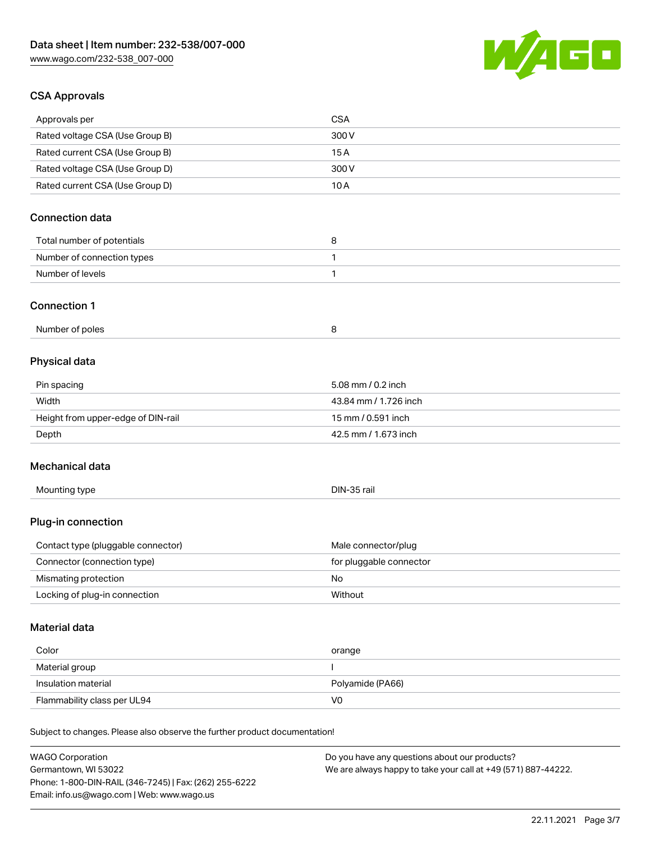

## CSA Approvals

| Approvals per                                                              | <b>CSA</b>              |
|----------------------------------------------------------------------------|-------------------------|
| Rated voltage CSA (Use Group B)                                            | 300V                    |
| Rated current CSA (Use Group B)                                            | 15A                     |
| Rated voltage CSA (Use Group D)                                            | 300V                    |
| Rated current CSA (Use Group D)                                            | 10A                     |
|                                                                            |                         |
| <b>Connection data</b>                                                     |                         |
| Total number of potentials                                                 | 8                       |
| Number of connection types                                                 | 1                       |
| Number of levels                                                           | 1                       |
|                                                                            |                         |
| <b>Connection 1</b>                                                        |                         |
| Number of poles                                                            | 8                       |
|                                                                            |                         |
| Physical data                                                              |                         |
| Pin spacing                                                                | 5.08 mm / 0.2 inch      |
| Width                                                                      | 43.84 mm / 1.726 inch   |
| Height from upper-edge of DIN-rail                                         | 15 mm / 0.591 inch      |
| Depth                                                                      | 42.5 mm / 1.673 inch    |
| Mechanical data                                                            |                         |
|                                                                            |                         |
| Mounting type                                                              | DIN-35 rail             |
| Plug-in connection                                                         |                         |
| Contact type (pluggable connector)                                         | Male connector/plug     |
| Connector (connection type)                                                | for pluggable connector |
| Mismating protection                                                       | No                      |
| Locking of plug-in connection                                              | Without                 |
| <b>Material data</b>                                                       |                         |
| Color                                                                      | orange                  |
| Material group                                                             | I                       |
| Insulation material                                                        | Polyamide (PA66)        |
| Flammability class per UL94                                                | V <sub>0</sub>          |
|                                                                            |                         |
| Subject to changes. Please also observe the further product documentation! |                         |
|                                                                            |                         |

WAGO Corporation Germantown, WI 53022 Phone: 1-800-DIN-RAIL (346-7245) | Fax: (262) 255-6222 Email: info.us@wago.com | Web: www.wago.us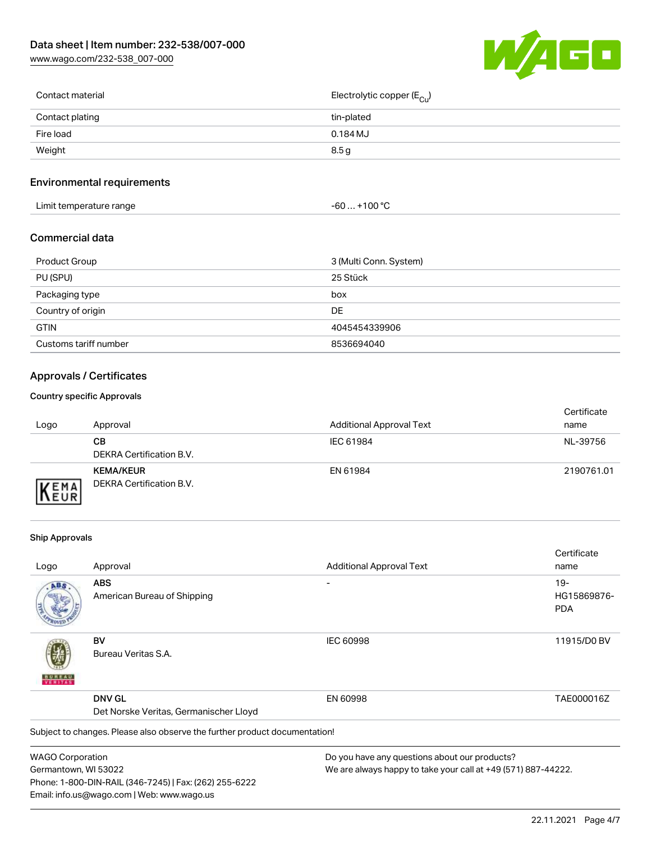[www.wago.com/232-538\\_007-000](http://www.wago.com/232-538_007-000)



| Contact material | Electrolytic copper (E <sub>Cu</sub> ) |
|------------------|----------------------------------------|
| Contact plating  | tin-plated                             |
| Fire load        | 0.184 MJ                               |
| Weight           | 8.5 g                                  |
|                  |                                        |

## Environmental requirements

| Limit temperature range<br>the contract of the contract of the contract of the contract of the contract of the contract of the contract of | . +100 ° <sup>∩</sup><br>-60 |  |
|--------------------------------------------------------------------------------------------------------------------------------------------|------------------------------|--|
|--------------------------------------------------------------------------------------------------------------------------------------------|------------------------------|--|

### Commercial data

| <b>Product Group</b>  | 3 (Multi Conn. System) |
|-----------------------|------------------------|
| PU (SPU)              | 25 Stück               |
| Packaging type        | box                    |
| Country of origin     | DE                     |
| <b>GTIN</b>           | 4045454339906          |
| Customs tariff number | 8536694040             |

## Approvals / Certificates

#### Country specific Approvals

| Logo                      | Approval                                     | <b>Additional Approval Text</b> | Certificate<br>name |
|---------------------------|----------------------------------------------|---------------------------------|---------------------|
|                           | CВ<br>DEKRA Certification B.V.               | IEC 61984                       | NL-39756            |
| <b>EMA</b><br><b>NEUR</b> | <b>KEMA/KEUR</b><br>DEKRA Certification B.V. | EN 61984                        | 2190761.01          |

#### Ship Approvals

Email: info.us@wago.com | Web: www.wago.us

|                         |                                                                            |                                                               | Certificate |
|-------------------------|----------------------------------------------------------------------------|---------------------------------------------------------------|-------------|
| Logo                    | Approval                                                                   | <b>Additional Approval Text</b>                               | name        |
| ABS                     | <b>ABS</b>                                                                 |                                                               | $19 -$      |
|                         | American Bureau of Shipping                                                |                                                               | HG15869876- |
|                         |                                                                            |                                                               | <b>PDA</b>  |
|                         | BV                                                                         | <b>IEC 60998</b>                                              | 11915/D0 BV |
| VERITAS                 | Bureau Veritas S.A.                                                        |                                                               |             |
|                         | <b>DNV GL</b>                                                              | EN 60998                                                      | TAE000016Z  |
|                         | Det Norske Veritas, Germanischer Lloyd                                     |                                                               |             |
|                         | Subject to changes. Please also observe the further product documentation! |                                                               |             |
| <b>WAGO Corporation</b> |                                                                            | Do you have any questions about our products?                 |             |
| Germantown, WI 53022    |                                                                            | We are always happy to take your call at +49 (571) 887-44222. |             |
|                         | Phone: 1-800-DIN-RAIL (346-7245)   Fax: (262) 255-6222                     |                                                               |             |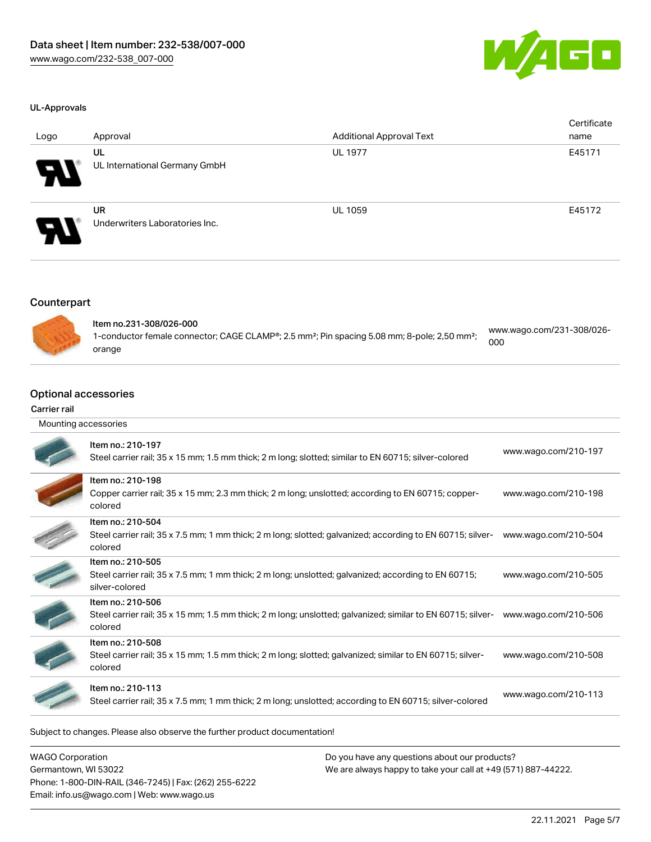

#### UL-Approvals

| Logo | Approval                                    | <b>Additional Approval Text</b> | Certificate<br>name |
|------|---------------------------------------------|---------------------------------|---------------------|
| A.   | UL<br>UL International Germany GmbH         | <b>UL 1977</b>                  | E45171              |
| 8    | <b>UR</b><br>Underwriters Laboratories Inc. | <b>UL 1059</b>                  | E45172              |

## Counterpart



| Item no.231-308/026-000                                                                                              | www.wago.com/231-308/026- |
|----------------------------------------------------------------------------------------------------------------------|---------------------------|
| 1-conductor female connector; CAGE CLAMP®; 2.5 mm <sup>2</sup> ; Pin spacing 5.08 mm; 8-pole; 2,50 mm <sup>2</sup> ; | 000                       |
| orange                                                                                                               |                           |

#### Optional accessories

#### Carrier rail

| Mounting accessories |                                                                                                                                             |                      |
|----------------------|---------------------------------------------------------------------------------------------------------------------------------------------|----------------------|
|                      | Item no.: 210-197<br>Steel carrier rail; 35 x 15 mm; 1.5 mm thick; 2 m long; slotted; similar to EN 60715; silver-colored                   | www.wago.com/210-197 |
|                      | Item no.: 210-198<br>Copper carrier rail; 35 x 15 mm; 2.3 mm thick; 2 m long; unslotted; according to EN 60715; copper-<br>colored          | www.wago.com/210-198 |
|                      | Item no.: 210-504<br>Steel carrier rail; 35 x 7.5 mm; 1 mm thick; 2 m long; slotted; galvanized; according to EN 60715; silver-<br>colored  | www.wago.com/210-504 |
|                      | Item no.: 210-505<br>Steel carrier rail; 35 x 7.5 mm; 1 mm thick; 2 m long; unslotted; galvanized; according to EN 60715;<br>silver-colored | www.wago.com/210-505 |
|                      | Item no.: 210-506<br>Steel carrier rail; 35 x 15 mm; 1.5 mm thick; 2 m long; unslotted; galvanized; similar to EN 60715; silver-<br>colored | www.wago.com/210-506 |
|                      | Item no.: 210-508<br>Steel carrier rail; 35 x 15 mm; 1.5 mm thick; 2 m long; slotted; galvanized; similar to EN 60715; silver-<br>colored   | www.wago.com/210-508 |
|                      | Item no.: 210-113<br>Steel carrier rail; 35 x 7.5 mm; 1 mm thick; 2 m long; unslotted; according to EN 60715; silver-colored                | www.wago.com/210-113 |
|                      |                                                                                                                                             |                      |

Subject to changes. Please also observe the further product documentation!

| <b>WAGO Corporation</b>                                |  |
|--------------------------------------------------------|--|
| Germantown, WI 53022                                   |  |
| Phone: 1-800-DIN-RAIL (346-7245)   Fax: (262) 255-6222 |  |
| Email: info.us@wago.com   Web: www.wago.us             |  |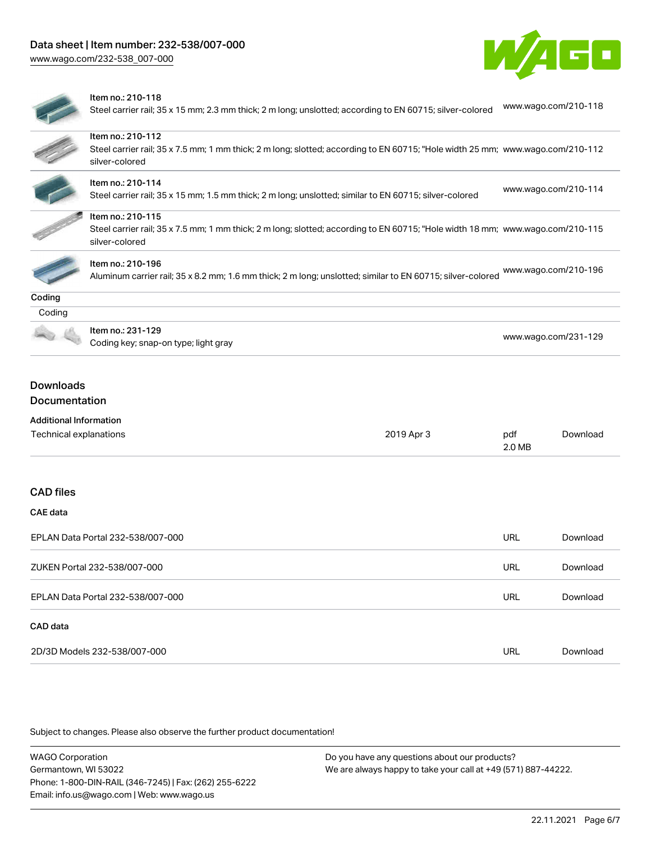



#### Item no.: 210-118

Steel carrier rail; 35 x 15 mm; 2.3 mm thick; 2 m long; unslotted; according to EN 60715; silver-colored [www.wago.com/210-118](http://www.wago.com/210-118)

| Item no.: 210-112                                                                                      |                |            |                                                                                                                                                                                                                                                                                                                                                                                                                                                                  |  |  |
|--------------------------------------------------------------------------------------------------------|----------------|------------|------------------------------------------------------------------------------------------------------------------------------------------------------------------------------------------------------------------------------------------------------------------------------------------------------------------------------------------------------------------------------------------------------------------------------------------------------------------|--|--|
| silver-colored                                                                                         |                |            |                                                                                                                                                                                                                                                                                                                                                                                                                                                                  |  |  |
| Item no.: 210-114                                                                                      |                |            |                                                                                                                                                                                                                                                                                                                                                                                                                                                                  |  |  |
| Steel carrier rail; 35 x 15 mm; 1.5 mm thick; 2 m long; unslotted; similar to EN 60715; silver-colored |                |            |                                                                                                                                                                                                                                                                                                                                                                                                                                                                  |  |  |
| Item no.: 210-115                                                                                      |                |            |                                                                                                                                                                                                                                                                                                                                                                                                                                                                  |  |  |
|                                                                                                        |                |            |                                                                                                                                                                                                                                                                                                                                                                                                                                                                  |  |  |
|                                                                                                        |                |            |                                                                                                                                                                                                                                                                                                                                                                                                                                                                  |  |  |
| Item no.: 210-196                                                                                      |                |            |                                                                                                                                                                                                                                                                                                                                                                                                                                                                  |  |  |
|                                                                                                        |                |            |                                                                                                                                                                                                                                                                                                                                                                                                                                                                  |  |  |
|                                                                                                        |                |            |                                                                                                                                                                                                                                                                                                                                                                                                                                                                  |  |  |
|                                                                                                        |                |            |                                                                                                                                                                                                                                                                                                                                                                                                                                                                  |  |  |
| Item no.: 231-129                                                                                      |                |            |                                                                                                                                                                                                                                                                                                                                                                                                                                                                  |  |  |
| Coding key; snap-on type; light gray                                                                   |                |            |                                                                                                                                                                                                                                                                                                                                                                                                                                                                  |  |  |
| Documentation<br><b>Additional Information</b><br>Technical explanations                               | 2019 Apr 3     | pdf        | Download                                                                                                                                                                                                                                                                                                                                                                                                                                                         |  |  |
|                                                                                                        |                |            |                                                                                                                                                                                                                                                                                                                                                                                                                                                                  |  |  |
|                                                                                                        |                |            |                                                                                                                                                                                                                                                                                                                                                                                                                                                                  |  |  |
|                                                                                                        |                |            |                                                                                                                                                                                                                                                                                                                                                                                                                                                                  |  |  |
| EPLAN Data Portal 232-538/007-000                                                                      |                | <b>URL</b> | Download                                                                                                                                                                                                                                                                                                                                                                                                                                                         |  |  |
| ZUKEN Portal 232-538/007-000                                                                           |                | <b>URL</b> | Download                                                                                                                                                                                                                                                                                                                                                                                                                                                         |  |  |
|                                                                                                        |                |            |                                                                                                                                                                                                                                                                                                                                                                                                                                                                  |  |  |
| EPLAN Data Portal 232-538/007-000                                                                      |                | <b>URL</b> | Download                                                                                                                                                                                                                                                                                                                                                                                                                                                         |  |  |
| <b>Downloads</b>                                                                                       | silver-colored |            | Steel carrier rail; 35 x 7.5 mm; 1 mm thick; 2 m long; slotted; according to EN 60715; "Hole width 25 mm; www.wago.com/210-112<br>www.wago.com/210-114<br>Steel carrier rail; 35 x 7.5 mm; 1 mm thick; 2 m long; slotted; according to EN 60715; "Hole width 18 mm; www.wago.com/210-115<br>www.wago.com/210-196<br>Aluminum carrier rail; 35 x 8.2 mm; 1.6 mm thick; 2 m long; unslotted; similar to EN 60715; silver-colored<br>www.wago.com/231-129<br>2.0 MB |  |  |

2D/3D Models 232-538/007-000 URL [Download](https://www.wago.com/global/d/3D_URLS_232-538_007-000)

Subject to changes. Please also observe the further product documentation!

WAGO Corporation Germantown, WI 53022 Phone: 1-800-DIN-RAIL (346-7245) | Fax: (262) 255-6222 Email: info.us@wago.com | Web: www.wago.us Do you have any questions about our products? We are always happy to take your call at +49 (571) 887-44222.